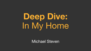# **Deep Dive:**  In My Home

Michael Steven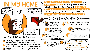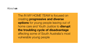The *IN MY HOME TEAM* is focused on creating **progressive and diverse options** for young people leaving out of home care and Youth Justice to **disrupt the troubling cycle of disadvantage**  affecting some of South Australia's most vulnerable young people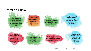### What is a **home?**

"If I didn't have this house I would be where I was before-couch surfing or in the training centre"- IHEP-YJ Tenant

"I have a roof over my head, that's all I need" - IHEP-YJ **Tenant** 

"Too many people not enough beds"- EAYHS **Case Manager** 

"Young people exiting the training centre have had the roughest starts then we punish them for that- EAYHS **Case Manager** 

"I just get put on another waitlist and nothing f\*\*\*king happens"-Young Person under the supervision of Youth Justice

"Its (mental health) the worst when I'm just here all by myself - IHEP-YJ Tenant

"The police will go to my neighbour's house but then just come knock on my door as well- IHEP-YJ Tenant

"I just felt bad for them, because they had nowhere to live either... I was being too nice" -**IHEP-YJ Tenant**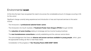## Environmental **scan**

At this time the team have recognised the need to be across the considerable amount of changes occurring in SA for this cohort

Significant change currently being experienced and introduction of new and improved services to this sector include;

- The introduction of **professional salaried foster carers**
- The introduction into South Australia of **Treatment Foster Care Oregon (TFCO)** through OzChild
- The **reduction of some funding** relating to brokerage and low income housing incentives
- The **new homelessness consortiums** currently establishing and the unknown service factor
- The acknowledgement that there are **diverse and proven services available to young people**, which, given the appropriate funding can flex to meet these needs.
- Consideration of the progress of "**Our Housing Future 2020-2030" SAHA**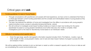## Critical gaps and **ask**

#### Funding guidelines V's need of Young People

- Through conversations with practitioners and people with lived experience, we have come to understand that there is a critical gap between current funding parameters and the complex and individualised needs of young people as they transition into adulthood.
- The team has explored the definition of home and investigated how this differs in accordance with young people's needs (including nurture, access to education/employment/family, culture)
- We will continue to investigate social impact funding models as a means to inject new funding into the sector (specifically focussed on young people's transitions) once further discovery into model is complete. Initial investigations point to the need for discretionary funds based on an individual's needs

#### Difficulty in accessing cohort specific data

● Given the age range, specific demographic information required includes CALD, First Nations , location, type of order, length of order, young people's needs, cost of care and clear impact markers of program success (for SIB) and analysis of need.

We will be seeking further members to join our lab team or assist us within a research capacity with a focus on data as well as consolidating the current environmental scan.